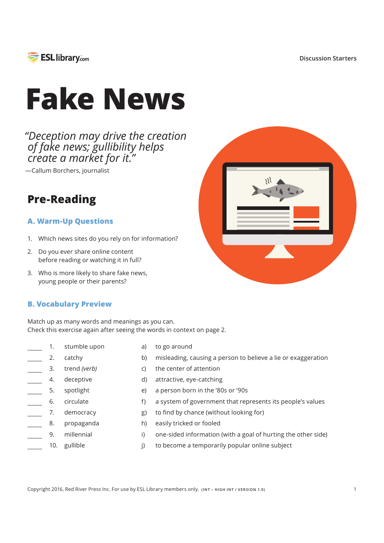

# **Fake News**

*"Deception may drive the creation of fake news; gullibility helps create a market for it."* 

—Callum Borchers, journalist

## **Pre-Reading**

### **A. Warm-Up Questions**

- 1. Which news sites do you rely on for information?
- 2. Do you ever share online content before reading or watching it in full?
- 3. Who is more likely to share fake news, young people or their parents?

#### **B. Vocabulary Preview**

Match up as many words and meanings as you can. Check this exercise again after seeing the words in context on page 2.

- stumble upon 1.
	- catchy 2.
- trend *(verb)* 3.
- deceptive 4.
- spotlight 5.
- circulate 6.
- democracy 7.
- propaganda 8.
- millennial 9.
- 10. gullible
- a) to go around
- $b)$ misleading, causing a person to believe a lie or exaggeration
- $\mathsf{C}$ the center of attention
- d) attractive, eye-catching
	- e) a person born in the '80s or '90s
- $f$ a system of government that represents its people's values
	- $g)$ to find by chance (without looking for)
	- $h)$ easily tricked or fooled
	- $\mathsf{i}$ one-sided information (with a goal of hurting the other side)
	- $\vert$ to become a temporarily popular online subject

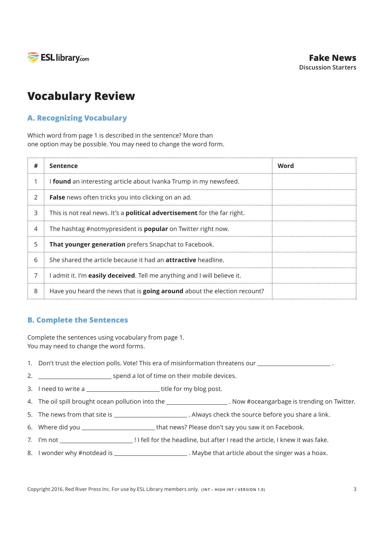

## **Vocabulary Review**

## **A. Recognizing Vocabulary**

Which word from page 1 is described in the sentence? More than one option may be possible. You may need to change the word form.

| # | <b>Sentence</b>                                                                 | Word |
|---|---------------------------------------------------------------------------------|------|
|   | I found an interesting article about Ivanka Trump in my newsfeed.               |      |
| 2 | False news often tricks you into clicking on an ad.                             |      |
| 3 | This is not real news. It's a <b>political advertisement</b> for the far right. |      |
| 4 | The hashtag #notmypresident is <b>popular</b> on Twitter right now.             |      |
| 5 | That younger generation prefers Snapchat to Facebook.                           |      |
| 6 | She shared the article because it had an <b>attractive</b> headline.            |      |
|   | I admit it. I'm easily deceived. Tell me anything and I will believe it.        |      |
| 8 | Have you heard the news that is going around about the election recount?        |      |

### **B. Complete the Sentences**

Complete the sentences using vocabulary from page 1. You may need to change the word forms.

- 1. Don't trust the election polls. Vote! This era of misinformation threatens our *warrely* ...
- 2.  $\frac{1}{2}$  spend a lot of time on their mobile devices.
- 3. I need to write a <del>witch the state of the state of</del> title for my blog post.
- 4. The oil spill brought ocean pollution into the *valuarity* . Now #oceangarbage is trending on Twitter.
- 5. The news from that site is \_\_\_\_\_\_\_\_\_\_\_\_\_\_\_\_\_\_\_\_\_\_\_\_\_\_\_. Always check the source before you share a link.
- 6. Where did you \_\_\_\_\_\_\_\_\_\_\_\_\_\_\_\_\_\_\_\_\_\_\_\_\_\_\_\_\_that news? Please don't say you saw it on Facebook.
- 7. I'm not ɅɅɅɅɅɅɅɅɅɅɅɅ ! I fell for the headline, but after I read the article, I knew it was fake.
- 8. I wonder why #notdead is \_\_\_\_\_\_\_\_\_\_\_\_\_\_\_\_\_\_\_\_\_\_\_\_\_. Maybe that article about the singer was a hoax.

Copyright 2016, Red River Press Inc. For use by ESL Library members only. **(INT – HIGH INT / VERSION 1.0)** 3